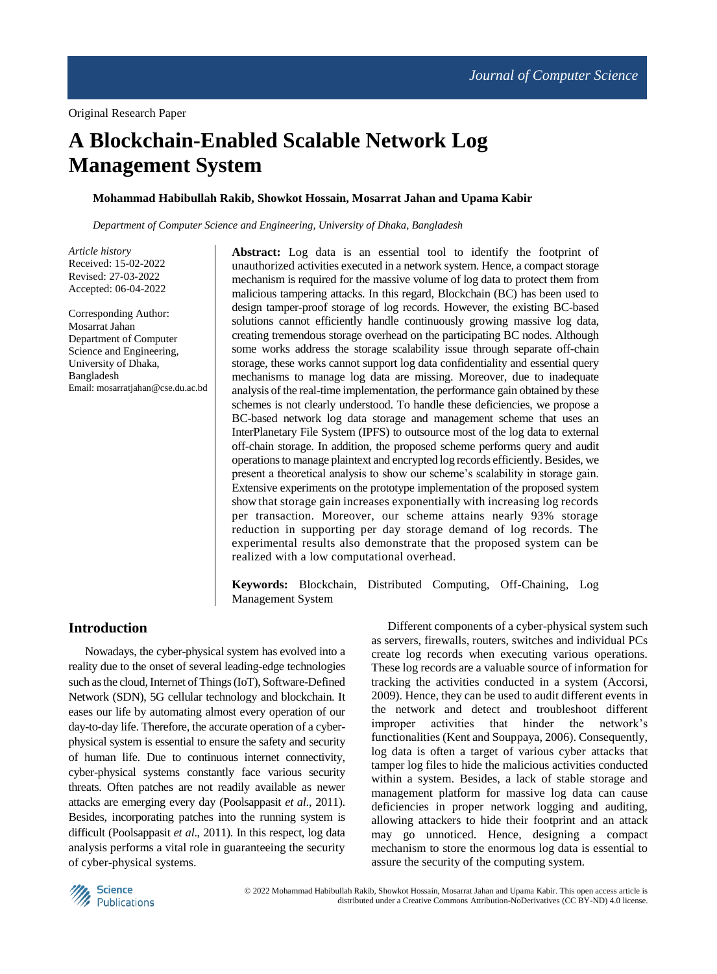# **A Blockchain-Enabled Scalable Network Log Management System**

# **Mohammad Habibullah Rakib, Showkot Hossain, Mosarrat Jahan and Upama Kabir**

*Department of Computer Science and Engineering, University of Dhaka, Bangladesh*

*Article history* Received: 15-02-2022 Revised: 27-03-2022 Accepted: 06-04-2022

Corresponding Author: Mosarrat Jahan Department of Computer Science and Engineering, University of Dhaka, Bangladesh Email: mosarratjahan@cse.du.ac.bd **Abstract:** Log data is an essential tool to identify the footprint of unauthorized activities executed in a network system. Hence, a compact storage mechanism is required for the massive volume of log data to protect them from malicious tampering attacks. In this regard, Blockchain (BC) has been used to design tamper-proof storage of log records. However, the existing BC-based solutions cannot efficiently handle continuously growing massive log data, creating tremendous storage overhead on the participating BC nodes. Although some works address the storage scalability issue through separate off-chain storage, these works cannot support log data confidentiality and essential query mechanisms to manage log data are missing. Moreover, due to inadequate analysis of the real-time implementation, the performance gain obtained by these schemes is not clearly understood. To handle these deficiencies, we propose a BC-based network log data storage and management scheme that uses an InterPlanetary File System (IPFS) to outsource most of the log data to external off-chain storage. In addition, the proposed scheme performs query and audit operations to manage plaintext and encrypted log records efficiently. Besides, we present a theoretical analysis to show our scheme's scalability in storage gain. Extensive experiments on the prototype implementation of the proposed system show that storage gain increases exponentially with increasing log records per transaction. Moreover, our scheme attains nearly 93% storage reduction in supporting per day storage demand of log records. The experimental results also demonstrate that the proposed system can be realized with a low computational overhead.

**Keywords:** Blockchain, Distributed Computing, Off-Chaining, Log Management System

# **Introduction**

Nowadays, the cyber-physical system has evolved into a reality due to the onset of several leading-edge technologies such as the cloud, Internet of Things (IoT), Software-Defined Network (SDN), 5G cellular technology and blockchain. It eases our life by automating almost every operation of our day-to-day life. Therefore, the accurate operation of a cyberphysical system is essential to ensure the safety and security of human life. Due to continuous internet connectivity, cyber-physical systems constantly face various security threats. Often patches are not readily available as newer attacks are emerging every day (Poolsappasit *et al*., 2011). Besides, incorporating patches into the running system is difficult (Poolsappasit *et al*., 2011). In this respect, log data analysis performs a vital role in guaranteeing the security of cyber-physical systems.

Different components of a cyber-physical system such as servers, firewalls, routers, switches and individual PCs create log records when executing various operations. These log records are a valuable source of information for tracking the activities conducted in a system (Accorsi, 2009). Hence, they can be used to audit different events in the network and detect and troubleshoot different improper activities that hinder the network's functionalities (Kent and Souppaya, 2006). Consequently, log data is often a target of various cyber attacks that tamper log files to hide the malicious activities conducted within a system. Besides, a lack of stable storage and management platform for massive log data can cause deficiencies in proper network logging and auditing, allowing attackers to hide their footprint and an attack may go unnoticed. Hence, designing a compact mechanism to store the enormous log data is essential to assure the security of the computing system.

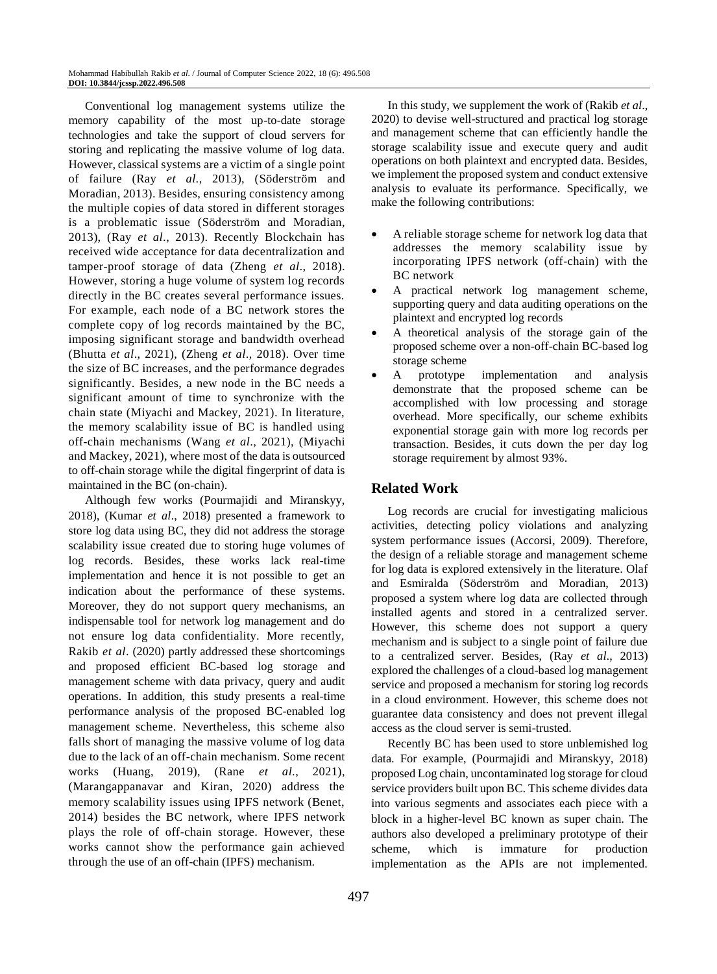Conventional log management systems utilize the memory capability of the most up-to-date storage technologies and take the support of cloud servers for storing and replicating the massive volume of log data. However, classical systems are a victim of a single point of failure (Ray *et al*., 2013), (Söderström and Moradian, 2013). Besides, ensuring consistency among the multiple copies of data stored in different storages is a problematic issue (Söderström and Moradian, 2013), (Ray *et al*., 2013). Recently Blockchain has received wide acceptance for data decentralization and tamper-proof storage of data (Zheng *et al*., 2018). However, storing a huge volume of system log records directly in the BC creates several performance issues. For example, each node of a BC network stores the complete copy of log records maintained by the BC, imposing significant storage and bandwidth overhead (Bhutta *et al*., 2021), (Zheng *et al*., 2018). Over time the size of BC increases, and the performance degrades significantly. Besides, a new node in the BC needs a significant amount of time to synchronize with the chain state (Miyachi and Mackey, 2021). In literature, the memory scalability issue of BC is handled using off-chain mechanisms (Wang *et al*., 2021), (Miyachi and Mackey, 2021), where most of the data is outsourced to off-chain storage while the digital fingerprint of data is maintained in the BC (on-chain).

Although few works (Pourmajidi and Miranskyy, 2018), (Kumar *et al*., 2018) presented a framework to store log data using BC, they did not address the storage scalability issue created due to storing huge volumes of log records. Besides, these works lack real-time implementation and hence it is not possible to get an indication about the performance of these systems. Moreover, they do not support query mechanisms, an indispensable tool for network log management and do not ensure log data confidentiality. More recently, Rakib *et al*. (2020) partly addressed these shortcomings and proposed efficient BC-based log storage and management scheme with data privacy, query and audit operations. In addition, this study presents a real-time performance analysis of the proposed BC-enabled log management scheme. Nevertheless, this scheme also falls short of managing the massive volume of log data due to the lack of an off-chain mechanism. Some recent works (Huang, 2019), (Rane *et al*., 2021), (Marangappanavar and Kiran, 2020) address the memory scalability issues using IPFS network (Benet, 2014) besides the BC network, where IPFS network plays the role of off-chain storage. However, these works cannot show the performance gain achieved through the use of an off-chain (IPFS) mechanism.

In this study, we supplement the work of (Rakib *et al*., 2020) to devise well-structured and practical log storage and management scheme that can efficiently handle the storage scalability issue and execute query and audit operations on both plaintext and encrypted data. Besides, we implement the proposed system and conduct extensive analysis to evaluate its performance. Specifically, we make the following contributions:

- A reliable storage scheme for network log data that addresses the memory scalability issue by incorporating IPFS network (off-chain) with the BC network
- A practical network log management scheme, supporting query and data auditing operations on the plaintext and encrypted log records
- A theoretical analysis of the storage gain of the proposed scheme over a non-off-chain BC-based log storage scheme
- A prototype implementation and analysis demonstrate that the proposed scheme can be accomplished with low processing and storage overhead. More specifically, our scheme exhibits exponential storage gain with more log records per transaction. Besides, it cuts down the per day log storage requirement by almost 93%.

# **Related Work**

Log records are crucial for investigating malicious activities, detecting policy violations and analyzing system performance issues (Accorsi, 2009). Therefore, the design of a reliable storage and management scheme for log data is explored extensively in the literature. Olaf and Esmiralda (Söderström and Moradian, 2013) proposed a system where log data are collected through installed agents and stored in a centralized server. However, this scheme does not support a query mechanism and is subject to a single point of failure due to a centralized server. Besides, (Ray *et al*., 2013) explored the challenges of a cloud-based log management service and proposed a mechanism for storing log records in a cloud environment. However, this scheme does not guarantee data consistency and does not prevent illegal access as the cloud server is semi-trusted.

Recently BC has been used to store unblemished log data. For example, (Pourmajidi and Miranskyy, 2018) proposed Log chain, uncontaminated log storage for cloud service providers built upon BC. This scheme divides data into various segments and associates each piece with a block in a higher-level BC known as super chain. The authors also developed a preliminary prototype of their scheme, which is immature for production implementation as the APIs are not implemented.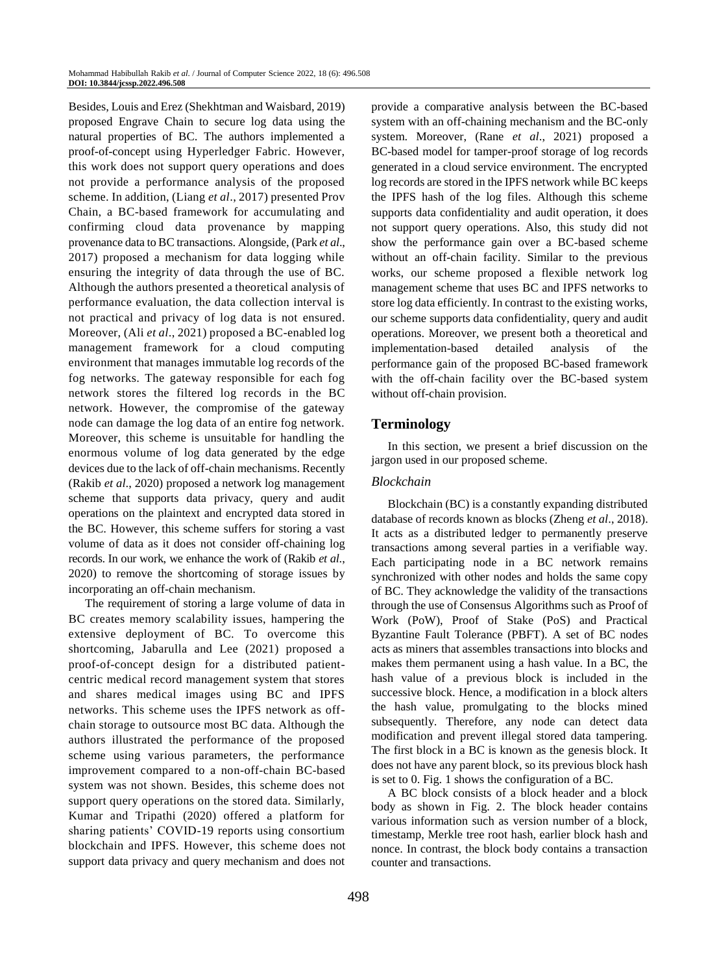Besides, Louis and Erez (Shekhtman and Waisbard, 2019) proposed Engrave Chain to secure log data using the natural properties of BC. The authors implemented a proof-of-concept using Hyperledger Fabric. However, this work does not support query operations and does not provide a performance analysis of the proposed scheme. In addition, (Liang *et al*., 2017) presented Prov Chain, a BC-based framework for accumulating and confirming cloud data provenance by mapping provenance data to BC transactions. Alongside, (Park *et al*., 2017) proposed a mechanism for data logging while ensuring the integrity of data through the use of BC. Although the authors presented a theoretical analysis of performance evaluation, the data collection interval is not practical and privacy of log data is not ensured. Moreover, (Ali *et al*., 2021) proposed a BC-enabled log management framework for a cloud computing environment that manages immutable log records of the fog networks. The gateway responsible for each fog network stores the filtered log records in the BC network. However, the compromise of the gateway node can damage the log data of an entire fog network. Moreover, this scheme is unsuitable for handling the enormous volume of log data generated by the edge devices due to the lack of off-chain mechanisms. Recently (Rakib *et al*., 2020) proposed a network log management scheme that supports data privacy, query and audit operations on the plaintext and encrypted data stored in the BC. However, this scheme suffers for storing a vast volume of data as it does not consider off-chaining log records. In our work, we enhance the work of (Rakib *et al*., 2020) to remove the shortcoming of storage issues by incorporating an off-chain mechanism.

The requirement of storing a large volume of data in BC creates memory scalability issues, hampering the extensive deployment of BC. To overcome this shortcoming, Jabarulla and Lee (2021) proposed a proof-of-concept design for a distributed patientcentric medical record management system that stores and shares medical images using BC and IPFS networks. This scheme uses the IPFS network as offchain storage to outsource most BC data. Although the authors illustrated the performance of the proposed scheme using various parameters, the performance improvement compared to a non-off-chain BC-based system was not shown. Besides, this scheme does not support query operations on the stored data. Similarly, Kumar and Tripathi (2020) offered a platform for sharing patients' COVID-19 reports using consortium blockchain and IPFS. However, this scheme does not support data privacy and query mechanism and does not provide a comparative analysis between the BC-based system with an off-chaining mechanism and the BC-only system. Moreover, (Rane *et al*., 2021) proposed a BC-based model for tamper-proof storage of log records generated in a cloud service environment. The encrypted log records are stored in the IPFS network while BC keeps the IPFS hash of the log files. Although this scheme supports data confidentiality and audit operation, it does not support query operations. Also, this study did not show the performance gain over a BC-based scheme without an off-chain facility. Similar to the previous works, our scheme proposed a flexible network log management scheme that uses BC and IPFS networks to store log data efficiently. In contrast to the existing works, our scheme supports data confidentiality, query and audit operations. Moreover, we present both a theoretical and implementation-based detailed analysis of the performance gain of the proposed BC-based framework with the off-chain facility over the BC-based system without off-chain provision.

# **Terminology**

In this section, we present a brief discussion on the jargon used in our proposed scheme.

# *Blockchain*

Blockchain (BC) is a constantly expanding distributed database of records known as blocks (Zheng *et al*., 2018). It acts as a distributed ledger to permanently preserve transactions among several parties in a verifiable way. Each participating node in a BC network remains synchronized with other nodes and holds the same copy of BC. They acknowledge the validity of the transactions through the use of Consensus Algorithms such as Proof of Work (PoW), Proof of Stake (PoS) and Practical Byzantine Fault Tolerance (PBFT). A set of BC nodes acts as miners that assembles transactions into blocks and makes them permanent using a hash value. In a BC, the hash value of a previous block is included in the successive block. Hence, a modification in a block alters the hash value, promulgating to the blocks mined subsequently. Therefore, any node can detect data modification and prevent illegal stored data tampering. The first block in a BC is known as the genesis block. It does not have any parent block, so its previous block hash is set to 0. Fig. 1 shows the configuration of a BC.

A BC block consists of a block header and a block body as shown in Fig. 2. The block header contains various information such as version number of a block, timestamp, Merkle tree root hash, earlier block hash and nonce. In contrast, the block body contains a transaction counter and transactions.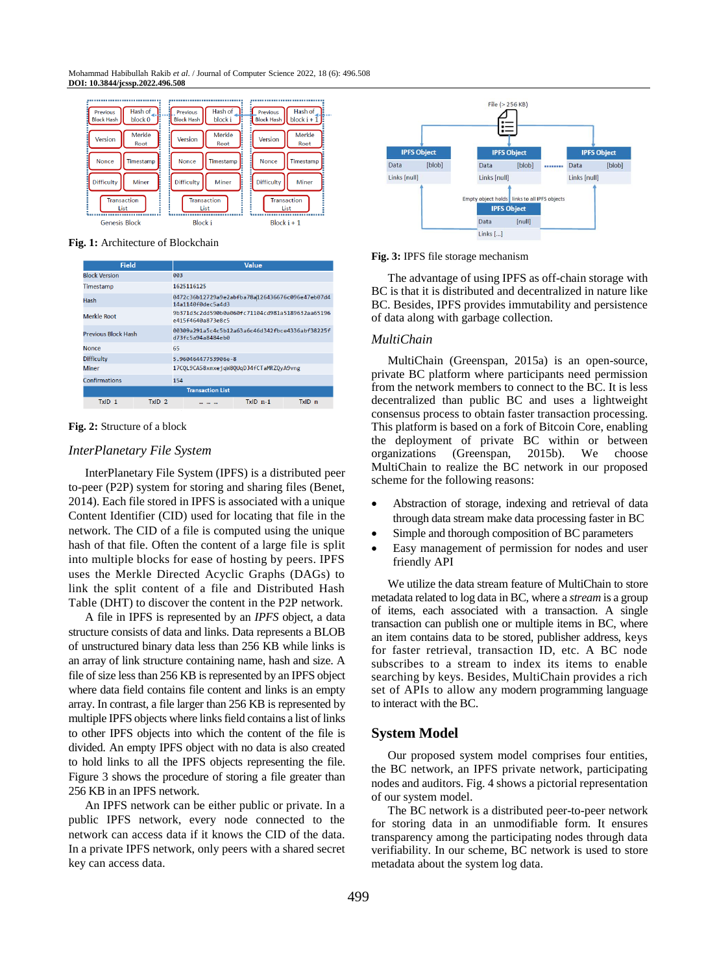#### Mohammad Habibullah Rakib *et al*. / Journal of Computer Science 2022, 18 (6): 496.508 **DOI: 10.3844/jcssp.2022.496.508**



**Fig. 1:** Architecture of Blockchain

| <b>Field</b>                  | Value                                                                 |  |  |  |  |
|-------------------------------|-----------------------------------------------------------------------|--|--|--|--|
| <b>Block Version</b>          | 003                                                                   |  |  |  |  |
| Timestamp                     | 1625116125                                                            |  |  |  |  |
| Hash                          | 0472c36b12729a9e2abfba78al126436676c096e47eb07d4<br>14a1140f0dec5a4d3 |  |  |  |  |
| Merkle Root                   | 9b371d3c2dd590b0a060fc71104cd981a5189632aa65196<br>P415f4649a873P8c5  |  |  |  |  |
| <b>Previous Block Hash</b>    | 00309a291a5c4c5b12a63a6c46d342fbce4336abf38225f<br>d73fc5a94a8484eb0  |  |  |  |  |
| <b>Nonce</b>                  | 65                                                                    |  |  |  |  |
| <b>Difficulty</b>             | 5.96046447753906e-8                                                   |  |  |  |  |
| Miner                         | 17CQL9CA58xmxejqW8QUqDJ4fCTaMRZQyA9vng                                |  |  |  |  |
| Confirmations                 | 154                                                                   |  |  |  |  |
| <b>Transaction List</b>       |                                                                       |  |  |  |  |
| $TxID_1$<br>TxID <sub>2</sub> | $TxID$ $n-1$<br>TxID n<br>$100 - 100$                                 |  |  |  |  |

#### **Fig. 2:** Structure of a block

#### *InterPlanetary File System*

InterPlanetary File System (IPFS) is a distributed peer to-peer (P2P) system for storing and sharing files (Benet, 2014). Each file stored in IPFS is associated with a unique Content Identifier (CID) used for locating that file in the network. The CID of a file is computed using the unique hash of that file. Often the content of a large file is split into multiple blocks for ease of hosting by peers. IPFS uses the Merkle Directed Acyclic Graphs (DAGs) to link the split content of a file and Distributed Hash Table (DHT) to discover the content in the P2P network.

A file in IPFS is represented by an *IPFS* object, a data structure consists of data and links. Data represents a BLOB of unstructured binary data less than 256 KB while links is an array of link structure containing name, hash and size. A file of size less than 256 KB is represented by an IPFS object where data field contains file content and links is an empty array. In contrast, a file larger than 256 KB is represented by multiple IPFS objects where links field contains a list of links to other IPFS objects into which the content of the file is divided. An empty IPFS object with no data is also created to hold links to all the IPFS objects representing the file. Figure 3 shows the procedure of storing a file greater than 256 KB in an IPFS network.

An IPFS network can be either public or private. In a public IPFS network, every node connected to the network can access data if it knows the CID of the data. In a private IPFS network, only peers with a shared secret key can access data.



**Fig. 3:** IPFS file storage mechanism

The advantage of using IPFS as off-chain storage with BC is that it is distributed and decentralized in nature like BC. Besides, IPFS provides immutability and persistence of data along with garbage collection.

#### *MultiChain*

MultiChain (Greenspan, 2015a) is an open-source, private BC platform where participants need permission from the network members to connect to the BC. It is less decentralized than public BC and uses a lightweight consensus process to obtain faster transaction processing. This platform is based on a fork of Bitcoin Core, enabling the deployment of private BC within or between organizations (Greenspan, 2015b). We choose MultiChain to realize the BC network in our proposed scheme for the following reasons:

- Abstraction of storage, indexing and retrieval of data through data stream make data processing faster in BC
- Simple and thorough composition of BC parameters
- Easy management of permission for nodes and user friendly API

We utilize the data stream feature of MultiChain to store metadata related to log data in BC, where a *stream* is a group of items, each associated with a transaction. A single transaction can publish one or multiple items in BC, where an item contains data to be stored, publisher address, keys for faster retrieval, transaction ID, etc. A BC node subscribes to a stream to index its items to enable searching by keys. Besides, MultiChain provides a rich set of APIs to allow any modern programming language to interact with the BC.

### **System Model**

Our proposed system model comprises four entities, the BC network, an IPFS private network, participating nodes and auditors. Fig. 4 shows a pictorial representation of our system model.

The BC network is a distributed peer-to-peer network for storing data in an unmodifiable form. It ensures transparency among the participating nodes through data verifiability. In our scheme, BC network is used to store metadata about the system log data.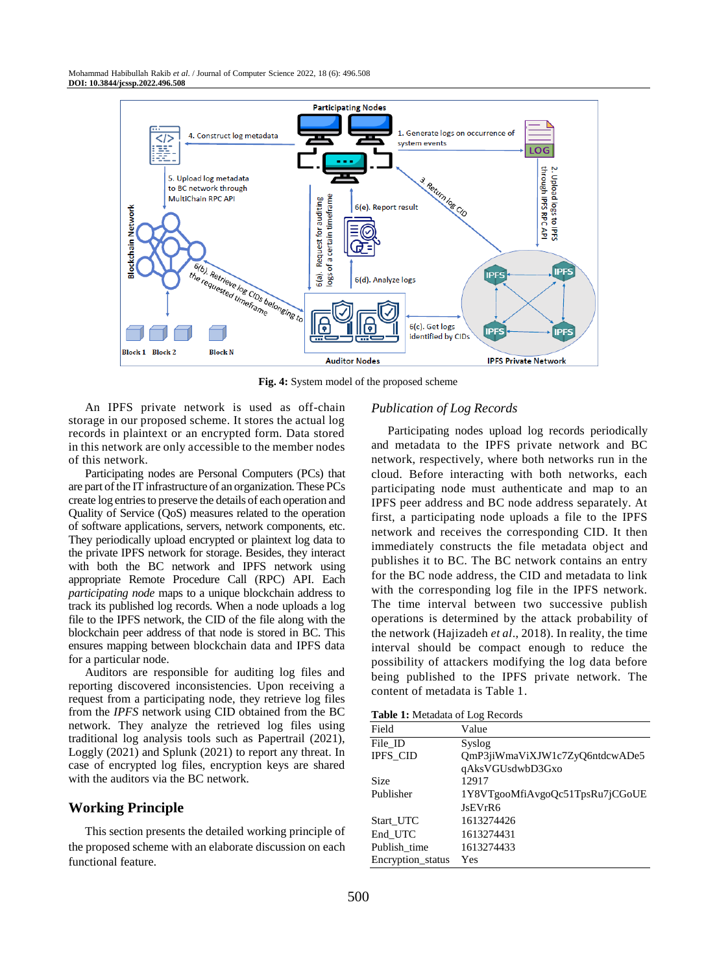Mohammad Habibullah Rakib *et al*. / Journal of Computer Science 2022, 18 (6): 496.508 **DOI: 10.3844/jcssp.2022.496.508**



**Fig. 4:** System model of the proposed scheme

An IPFS private network is used as off-chain storage in our proposed scheme. It stores the actual log records in plaintext or an encrypted form. Data stored in this network are only accessible to the member nodes of this network.

Participating nodes are Personal Computers (PCs) that are part of the IT infrastructure of an organization. These PCs create log entries to preserve the details of each operation and Quality of Service (QoS) measures related to the operation of software applications, servers, network components, etc. They periodically upload encrypted or plaintext log data to the private IPFS network for storage. Besides, they interact with both the BC network and IPFS network using appropriate Remote Procedure Call (RPC) API. Each *participating node* maps to a unique blockchain address to track its published log records. When a node uploads a log file to the IPFS network, the CID of the file along with the blockchain peer address of that node is stored in BC. This ensures mapping between blockchain data and IPFS data for a particular node.

Auditors are responsible for auditing log files and reporting discovered inconsistencies. Upon receiving a request from a participating node, they retrieve log files from the *IPFS* network using CID obtained from the BC network. They analyze the retrieved log files using traditional log analysis tools such as Papertrail (2021), Loggly (2021) and Splunk (2021) to report any threat. In case of encrypted log files, encryption keys are shared with the auditors via the BC network.

# **Working Principle**

This section presents the detailed working principle of the proposed scheme with an elaborate discussion on each functional feature.

# *Publication of Log Records*

Participating nodes upload log records periodically and metadata to the IPFS private network and BC network, respectively, where both networks run in the cloud. Before interacting with both networks, each participating node must authenticate and map to an IPFS peer address and BC node address separately. At first, a participating node uploads a file to the IPFS network and receives the corresponding CID. It then immediately constructs the file metadata object and publishes it to BC. The BC network contains an entry for the BC node address, the CID and metadata to link with the corresponding log file in the IPFS network. The time interval between two successive publish operations is determined by the attack probability of the network (Hajizadeh *et al*., 2018). In reality, the time interval should be compact enough to reduce the possibility of attackers modifying the log data before being published to the IPFS private network. The content of metadata is Table 1.

**Table 1:** Metadata of Log Records

| <b>THE 1.</b> INCREAGULATED ACCORDS |                                 |  |  |
|-------------------------------------|---------------------------------|--|--|
| Field                               | Value                           |  |  |
| File ID                             | Syslog                          |  |  |
| <b>IPFS CID</b>                     | QmP3jiWmaViXJW1c7ZyQ6ntdcwADe5  |  |  |
|                                     | qAksVGUsdwbD3Gxo                |  |  |
| Size                                | 12917                           |  |  |
| Publisher                           | 1Y8VTgooMfiAvgoQc51TpsRu7jCGoUE |  |  |
|                                     | JsEVrR6                         |  |  |
| Start UTC                           | 1613274426                      |  |  |
| End_UTC                             | 1613274431                      |  |  |
| Publish_time                        | 1613274433                      |  |  |
| Encryption status                   | Yes                             |  |  |
|                                     |                                 |  |  |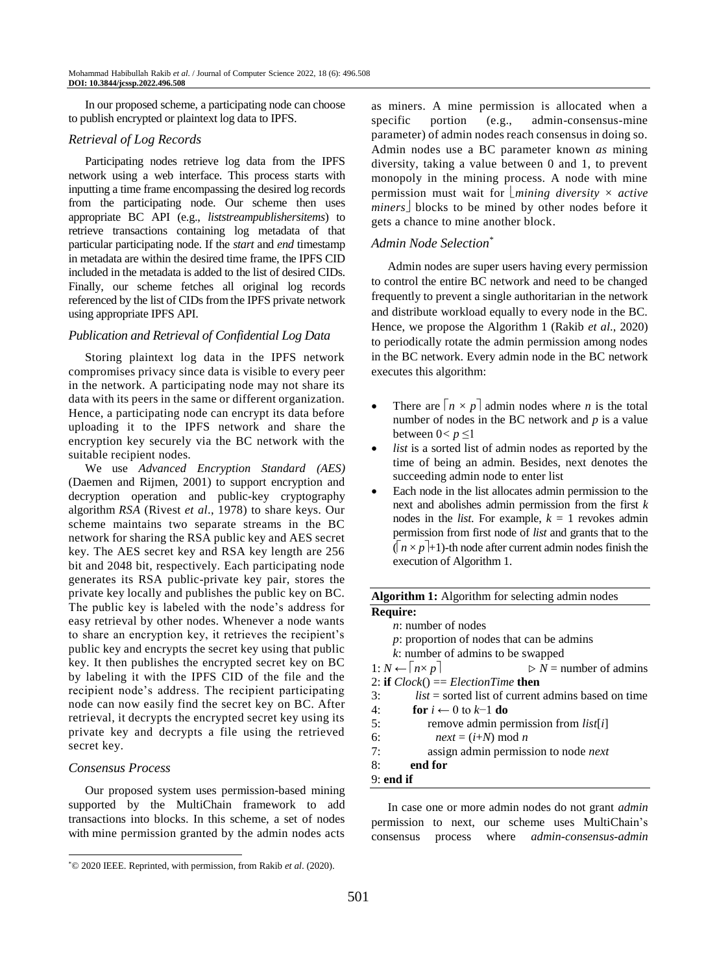In our proposed scheme, a participating node can choose to publish encrypted or plaintext log data to IPFS.

# *Retrieval of Log Records*

Participating nodes retrieve log data from the IPFS network using a web interface. This process starts with inputting a time frame encompassing the desired log records from the participating node. Our scheme then uses appropriate BC API (e.g., *liststreampublishersitems*) to retrieve transactions containing log metadata of that particular participating node. If the *start* and *end* timestamp in metadata are within the desired time frame, the IPFS CID included in the metadata is added to the list of desired CIDs. Finally, our scheme fetches all original log records referenced by the list of CIDs from the IPFS private network using appropriate IPFS API.

# *Publication and Retrieval of Confidential Log Data*

Storing plaintext log data in the IPFS network compromises privacy since data is visible to every peer in the network. A participating node may not share its data with its peers in the same or different organization. Hence, a participating node can encrypt its data before uploading it to the IPFS network and share the encryption key securely via the BC network with the suitable recipient nodes.

We use *Advanced Encryption Standard (AES)* (Daemen and Rijmen, 2001) to support encryption and decryption operation and public-key cryptography algorithm *RSA* (Rivest *et al*., 1978) to share keys. Our scheme maintains two separate streams in the BC network for sharing the RSA public key and AES secret key. The AES secret key and RSA key length are 256 bit and 2048 bit, respectively. Each participating node generates its RSA public-private key pair, stores the private key locally and publishes the public key on BC. The public key is labeled with the node's address for easy retrieval by other nodes. Whenever a node wants to share an encryption key, it retrieves the recipient's public key and encrypts the secret key using that public key. It then publishes the encrypted secret key on BC by labeling it with the IPFS CID of the file and the recipient node's address. The recipient participating node can now easily find the secret key on BC. After retrieval, it decrypts the encrypted secret key using its private key and decrypts a file using the retrieved secret key.

### *Consensus Process*

Our proposed system uses permission-based mining supported by the MultiChain framework to add transactions into blocks. In this scheme, a set of nodes with mine permission granted by the admin nodes acts as miners. A mine permission is allocated when a specific portion (e.g., admin-consensus-mine parameter) of admin nodes reach consensus in doing so. Admin nodes use a BC parameter known *as* mining diversity, taking a value between 0 and 1, to prevent monopoly in the mining process. A node with mine permission must wait for  $\lfloor$ *mining diversity*  $\times$  *active miners* blocks to be mined by other nodes before it gets a chance to mine another block.

#### *Admin Node Selection\**

Admin nodes are super users having every permission to control the entire BC network and need to be changed frequently to prevent a single authoritarian in the network and distribute workload equally to every node in the BC. Hence, we propose the Algorithm 1 (Rakib *et al*., 2020) to periodically rotate the admin permission among nodes in the BC network. Every admin node in the BC network executes this algorithm:

- There are  $\lceil n \times p \rceil$  admin nodes where *n* is the total number of nodes in the BC network and *p* is a value between  $0 < p \leq 1$
- *list* is a sorted list of admin nodes as reported by the time of being an admin. Besides, next denotes the succeeding admin node to enter list
- Each node in the list allocates admin permission to the next and abolishes admin permission from the first *k*  nodes in the *list*. For example,  $k = 1$  revokes admin permission from first node of *list* and grants that to the  $(n \times p + 1)$ -th node after current admin nodes finish the execution of Algorithm 1.

| <b>Algorithm 1:</b> Algorithm for selecting admin nodes                   |  |  |
|---------------------------------------------------------------------------|--|--|
| <b>Require:</b>                                                           |  |  |
| $n:$ number of nodes                                                      |  |  |
| $p$ : proportion of nodes that can be admins                              |  |  |
| $k$ : number of admins to be swapped                                      |  |  |
| 1: $N \leftarrow   n \times p  $<br>$\triangleright$ N = number of admins |  |  |
| 2: if $Clock() == ElectronTime$ then                                      |  |  |
| $list = sorted$ list of current admins based on time<br>3:                |  |  |
| for $i \leftarrow 0$ to $k=1$ do<br>4:                                    |  |  |
| 5:<br>remove admin permission from <i>list[i]</i>                         |  |  |
| 6:<br>$next = (i+N) \mod n$                                               |  |  |
| assign admin permission to node next<br>7:                                |  |  |
| end for<br>8:                                                             |  |  |
| $9:$ end if                                                               |  |  |

In case one or more admin nodes do not grant *admin*  permission to next, our scheme uses MultiChain's consensus process where *admin-consensus-admin* 

<sup>\*</sup>© 2020 IEEE. Reprinted, with permission, from Rakib *et al*. (2020).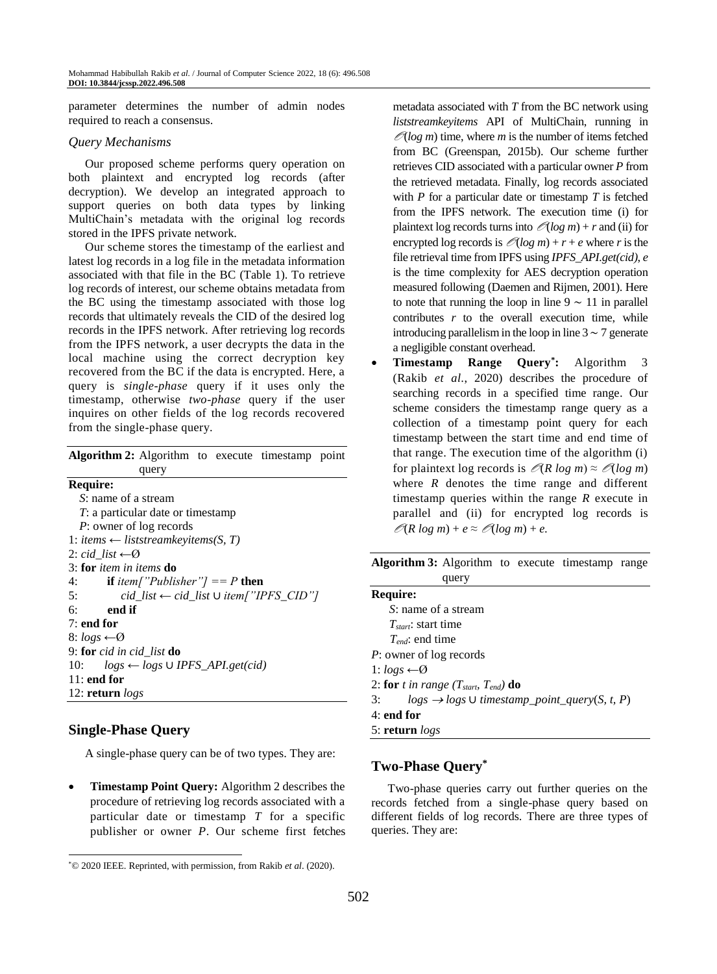parameter determines the number of admin nodes required to reach a consensus.

### *Query Mechanisms*

Our proposed scheme performs query operation on both plaintext and encrypted log records (after decryption). We develop an integrated approach to support queries on both data types by linking MultiChain's metadata with the original log records stored in the IPFS private network.

Our scheme stores the timestamp of the earliest and latest log records in a log file in the metadata information associated with that file in the BC (Table 1). To retrieve log records of interest, our scheme obtains metadata from the BC using the timestamp associated with those log records that ultimately reveals the CID of the desired log records in the IPFS network. After retrieving log records from the IPFS network, a user decrypts the data in the local machine using the correct decryption key recovered from the BC if the data is encrypted. Here, a query is *single-phase* query if it uses only the timestamp, otherwise *two-phase* query if the user inquires on other fields of the log records recovered from the single-phase query.

| <b>Algorithm 2:</b> Algorithm to execute timestamp point |
|----------------------------------------------------------|
| query                                                    |
| <b>Require:</b>                                          |
| S: name of a stream                                      |
| T: a particular date or timestamp                        |
| P: owner of log records                                  |
| 1: items $\leftarrow$ liststreamkeyitems(S, T)           |
| 2: cid list $\leftarrow \emptyset$                       |
| 3: for <i>item in items</i> do                           |
| <b>if</b> item["Publisher"] == P <b>then</b><br>4:       |
| cid_list ← cid_list ∪ item["IPFS_CID"]<br>5:             |
| end if<br>б:                                             |
| $7:$ end for                                             |
| 8: $logs \leftarrow \emptyset$                           |
| 9: for cid in cid_list $do$                              |
| $logs \leftarrow logs \cup IPFS\_API.get(cid)$<br>10:    |
| $11:$ end for                                            |
| 12: return $\log s$                                      |

# **Single-Phase Query**

A single-phase query can be of two types. They are:

 **Timestamp Point Query:** Algorithm 2 describes the procedure of retrieving log records associated with a particular date or timestamp *T* for a specific publisher or owner *P*. Our scheme first fetches metadata associated with *T* from the BC network using *liststreamkeyitems* API of MultiChain, running in  $\mathcal{O}(\log m)$  time, where *m* is the number of items fetched from BC (Greenspan, 2015b). Our scheme further retrieves CID associated with a particular owner *P* from the retrieved metadata. Finally, log records associated with *P* for a particular date or timestamp *T* is fetched from the IPFS network. The execution time (i) for plaintext log records turns into  $\mathcal{O}(\log m) + r$  and (ii) for encrypted log records is  $\mathcal{O}(\log m) + r + e$  where *r* is the file retrieval time from IPFS using *IPFS\_API.get(cid)*, *e*  is the time complexity for AES decryption operation measured following (Daemen and Rijmen, 2001). Here to note that running the loop in line  $9 \sim 11$  in parallel contributes  $r$  to the overall execution time, while introducing parallelism in the loop in line 3 ∼ 7 generate a negligible constant overhead.

 **Timestamp Range Query\* :** Algorithm 3 (Rakib *et al*., 2020) describes the procedure of searching records in a specified time range. Our scheme considers the timestamp range query as a collection of a timestamp point query for each timestamp between the start time and end time of that range. The execution time of the algorithm (i) for plaintext log records is  $\mathcal{O}(R \log m) \approx \mathcal{O}(\log m)$ where *R* denotes the time range and different timestamp queries within the range *R* execute in parallel and (ii) for encrypted log records is  $\mathcal{O}(R \log m) + e \approx \mathcal{O}(\log m) + e$ .

| Algorithm 3: Algorithm to execute timestamp range |       |  |  |
|---------------------------------------------------|-------|--|--|
|                                                   | query |  |  |

| Require:                                                            |
|---------------------------------------------------------------------|
| S: name of a stream                                                 |
| $T_{\text{start}}$ : start time                                     |
| $T_{end}$ : end time                                                |
| P: owner of log records                                             |
| 1: $\log s \leftarrow \varnothing$                                  |
| 2: for t in range ( $T_{start}$ , $T_{end}$ ) do                    |
| $logs \rightarrow logs \cup timestamp\_point\_query(S, t, P)$<br>3: |
| $4:$ end for                                                        |
| 5: return $logs$                                                    |

# **Two-Phase Query\***

Two-phase queries carry out further queries on the records fetched from a single-phase query based on different fields of log records. There are three types of queries. They are:

<sup>\*</sup>© 2020 IEEE. Reprinted, with permission, from Rakib *et al*. (2020).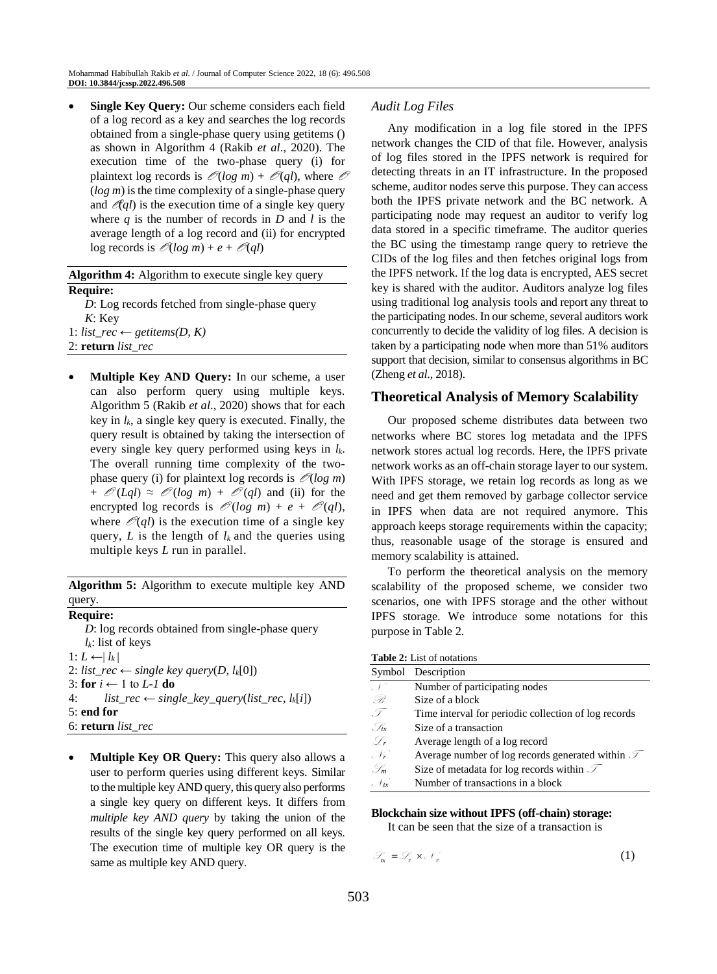**Single Key Query:** Our scheme considers each field of a log record as a key and searches the log records obtained from a single-phase query using getitems () as shown in Algorithm 4 (Rakib *et al*., 2020). The execution time of the two-phase query (i) for plaintext log records is  $\mathcal{O}(\log m) + \mathcal{O}(ql)$ , where  $\mathcal O$ (*log m*) is the time complexity of a single-phase query and  $\mathscr{A}gl$ ) is the execution time of a single key query where *q* is the number of records in *D* and *l* is the average length of a log record and (ii) for encrypted  $\log$  records is  $\mathcal{O}(\log m) + e + \mathcal{O}(ql)$ 

# **Algorithm 4:** Algorithm to execute single key query **Require:** *D*: Log records fetched from single-phase query *K*: Key

1: *list\_rec* ← *getitems(D, K)* 2: **return** *list\_rec*

 **Multiple Key AND Query:** In our scheme, a user can also perform query using multiple keys. Algorithm 5 (Rakib *et al*., 2020) shows that for each key in  $l_k$ , a single key query is executed. Finally, the query result is obtained by taking the intersection of every single key query performed using keys in *lk*. The overall running time complexity of the twophase query (i) for plaintext log records is  $\mathcal{O}(\log m)$ +  $\mathcal{O}(Lql) \approx \mathcal{O}(log \ m) + \mathcal{O}(ql)$  and (ii) for the encrypted log records is  $\mathcal{O}(\log m) + e + \mathcal{O}(ql)$ , where  $\mathcal{O}(ql)$  is the execution time of a single key query,  $L$  is the length of  $l_k$  and the queries using multiple keys *L* run in parallel.

**Algorithm 5:** Algorithm to execute multiple key AND query.

### **Require:**

*D*: log records obtained from single-phase query *lk*: list of keys 1:  $L$  ←  $|l_k|$ 2: *list\_rec* ← *single key query*(*D*,  $l_k[0]$ ) 3: **for** *i* ← 1 to *L-1* **do** 4:  $list\_rec \leftarrow single\_key\_query(list\_rec, l_k[i])$ 5: **end for** 6: **return** *list\_rec*

 **Multiple Key OR Query:** This query also allows a user to perform queries using different keys. Similar to the multiple key AND query, this query also performs a single key query on different keys. It differs from *multiple key AND query* by taking the union of the results of the single key query performed on all keys. The execution time of multiple key OR query is the same as multiple key AND query.

# *Audit Log Files*

Any modification in a log file stored in the IPFS network changes the CID of that file. However, analysis of log files stored in the IPFS network is required for detecting threats in an IT infrastructure. In the proposed scheme, auditor nodes serve this purpose. They can access both the IPFS private network and the BC network. A participating node may request an auditor to verify log data stored in a specific timeframe. The auditor queries the BC using the timestamp range query to retrieve the CIDs of the log files and then fetches original logs from the IPFS network. If the log data is encrypted, AES secret key is shared with the auditor. Auditors analyze log files using traditional log analysis tools and report any threat to the participating nodes. In our scheme, several auditors work concurrently to decide the validity of log files. A decision is taken by a participating node when more than 51% auditors support that decision, similar to consensus algorithms in BC (Zheng *et al*., 2018).

# **Theoretical Analysis of Memory Scalability**

Our proposed scheme distributes data between two networks where BC stores log metadata and the IPFS network stores actual log records. Here, the IPFS private network works as an off-chain storage layer to our system. With IPFS storage, we retain log records as long as we need and get them removed by garbage collector service in IPFS when data are not required anymore. This approach keeps storage requirements within the capacity; thus, reasonable usage of the storage is ensured and memory scalability is attained.

To perform the theoretical analysis on the memory scalability of the proposed scheme, we consider two scenarios, one with IPFS storage and the other without IPFS storage. We introduce some notations for this purpose in Table 2.

| <b>Table 2:</b> List of notations |                                                              |  |
|-----------------------------------|--------------------------------------------------------------|--|
|                                   | Symbol Description                                           |  |
|                                   | Number of participating nodes                                |  |
| B                                 | Size of a block                                              |  |
| 97                                | Time interval for periodic collection of log records         |  |
| . In                              | Size of a transaction                                        |  |
| -G,                               | Average length of a log record                               |  |
| $\mathscr{N}_r$                   | Average number of log records generated within $\mathcal{T}$ |  |
| . Im                              | Size of metadata for log records within $\mathcal{I}$        |  |
| . Nrv                             | Number of transactions in a block                            |  |

# **Blockchain size without IPFS (off-chain) storage:**

It can be seen that the size of a transaction is

 $\mathcal{S}_n = \mathcal{L}_r \times \mathcal{N}_r$ (1)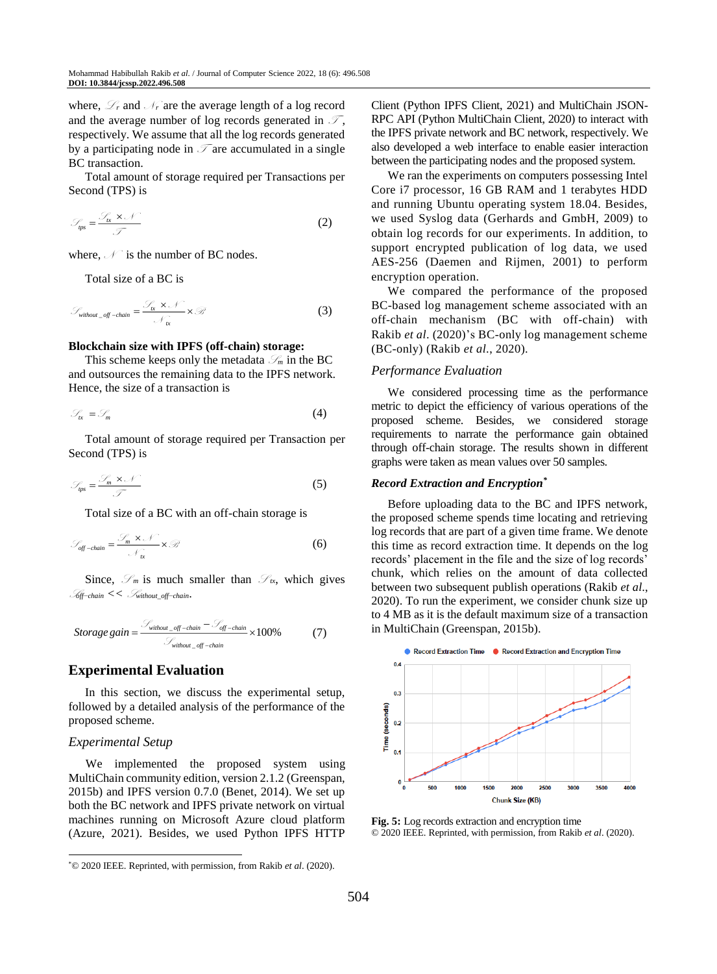where,  $\mathcal{L}_r$  and  $\mathcal{N}_r$  are the average length of a log record and the average number of log records generated in  $\mathcal{T}$ , respectively. We assume that all the log records generated by a participating node in  $\mathcal T$  are accumulated in a single BC transaction.

Total amount of storage required per Transactions per Second (TPS) is

$$
\mathcal{S}_{\text{ps}} = \frac{\mathcal{S}_{\text{rx}} \times \mathcal{N}}{\mathcal{T}}
$$
 (2)

where,  $\mathcal{N}$  is the number of BC nodes.

Total size of a BC is

$$
\mathcal{S}_{without\_off-chain} = \frac{\mathcal{S}_{tx} \times \mathcal{N}}{\mathcal{N}_{tx}} \times \mathcal{B}
$$
 (3)

#### **Blockchain size with IPFS (off-chain) storage:**

This scheme keeps only the metadata  $\mathcal{S}_m$  in the BC and outsources the remaining data to the IPFS network. Hence, the size of a transaction is

$$
\mathcal{S}_\kappa = \mathcal{S}_m \tag{4}
$$

Total amount of storage required per Transaction per Second (TPS) is

$$
\mathcal{S}_{\text{ps}} = \frac{\mathcal{S}_{\text{m}} \times \mathcal{N}}{\mathcal{T}}
$$
 (5)

Total size of a BC with an off-chain storage is

$$
\mathcal{S}_{\text{off-chain}} = \frac{\mathcal{S}_{m} \times \mathcal{N}}{\mathcal{N}_{\text{tx}}} \times \mathcal{B}
$$
 (6)

Since,  $\mathcal{S}_m$  is much smaller than  $\mathcal{S}_{tx}$ , which gives <sup>S</sup>*off*−*chain <<* <sup>S</sup> *without\_off*−*chain*.

*Storage gain* = 
$$
\frac{\mathcal{S}_{without\_off-chain} - \mathcal{S}_{off-chain}}{\mathcal{S}_{without\_off-chain}} \times 100\%
$$
 (7)

### **Experimental Evaluation**

In this section, we discuss the experimental setup, followed by a detailed analysis of the performance of the proposed scheme.

### *Experimental Setup*

We implemented the proposed system using MultiChain community edition, version 2.1.2 (Greenspan, 2015b) and IPFS version 0.7.0 (Benet, 2014). We set up both the BC network and IPFS private network on virtual machines running on Microsoft Azure cloud platform (Azure, 2021). Besides, we used Python IPFS HTTP Client (Python IPFS Client, 2021) and MultiChain JSON-RPC API (Python MultiChain Client, 2020) to interact with the IPFS private network and BC network, respectively. We also developed a web interface to enable easier interaction between the participating nodes and the proposed system.

We ran the experiments on computers possessing Intel Core i7 processor, 16 GB RAM and 1 terabytes HDD and running Ubuntu operating system 18.04. Besides, we used Syslog data (Gerhards and GmbH, 2009) to obtain log records for our experiments. In addition, to support encrypted publication of log data, we used AES-256 (Daemen and Rijmen, 2001) to perform encryption operation.

We compared the performance of the proposed BC-based log management scheme associated with an off-chain mechanism (BC with off-chain) with Rakib *et al*. (2020)'s BC-only log management scheme (BC-only) (Rakib *et al*., 2020).

#### *Performance Evaluation*

We considered processing time as the performance metric to depict the efficiency of various operations of the proposed scheme. Besides, we considered storage requirements to narrate the performance gain obtained through off-chain storage. The results shown in different graphs were taken as mean values over 50 samples.

#### *Record Extraction and Encryption\**

Before uploading data to the BC and IPFS network, the proposed scheme spends time locating and retrieving log records that are part of a given time frame. We denote this time as record extraction time. It depends on the log records' placement in the file and the size of log records' chunk, which relies on the amount of data collected between two subsequent publish operations (Rakib *et al*., 2020). To run the experiment, we consider chunk size up to 4 MB as it is the default maximum size of a transaction in MultiChain (Greenspan, 2015b).



**Fig. 5:** Log records extraction and encryption time © 2020 IEEE. Reprinted, with permission, from Rakib *et al*. (2020).

<sup>\*</sup>© 2020 IEEE. Reprinted, with permission, from Rakib *et al*. (2020).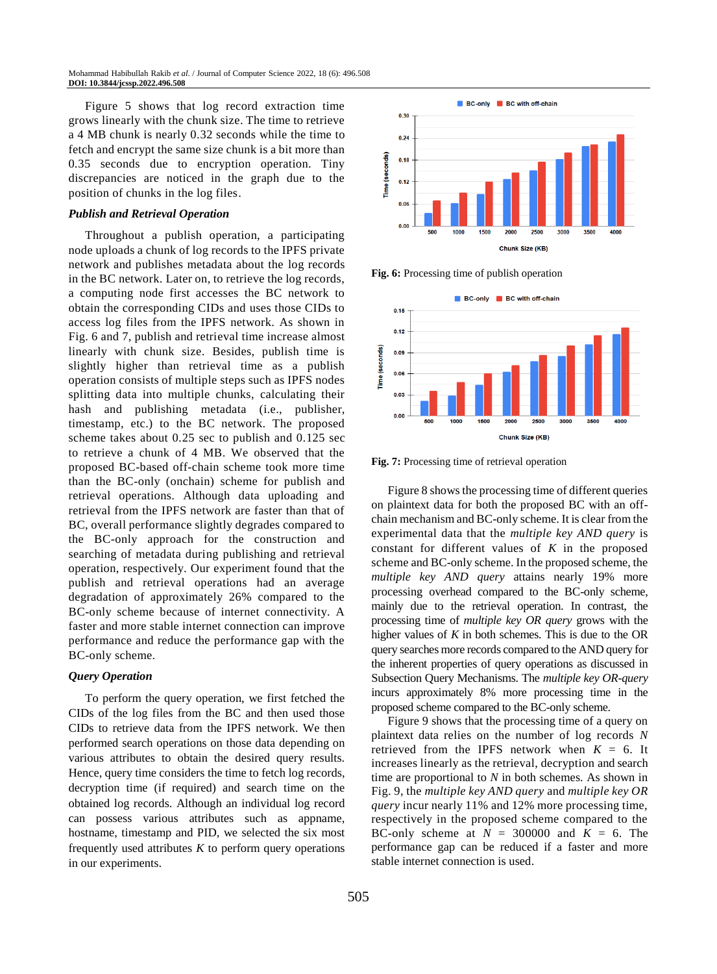Figure 5 shows that log record extraction time grows linearly with the chunk size. The time to retrieve a 4 MB chunk is nearly 0*.*32 seconds while the time to fetch and encrypt the same size chunk is a bit more than 0*.*35 seconds due to encryption operation. Tiny discrepancies are noticed in the graph due to the position of chunks in the log files.

#### *Publish and Retrieval Operation*

Throughout a publish operation, a participating node uploads a chunk of log records to the IPFS private network and publishes metadata about the log records in the BC network. Later on, to retrieve the log records, a computing node first accesses the BC network to obtain the corresponding CIDs and uses those CIDs to access log files from the IPFS network. As shown in Fig. 6 and 7, publish and retrieval time increase almost linearly with chunk size. Besides, publish time is slightly higher than retrieval time as a publish operation consists of multiple steps such as IPFS nodes splitting data into multiple chunks, calculating their hash and publishing metadata (i.e., publisher, timestamp, etc.) to the BC network. The proposed scheme takes about 0*.*25 sec to publish and 0*.*125 sec to retrieve a chunk of 4 MB. We observed that the proposed BC-based off-chain scheme took more time than the BC-only (onchain) scheme for publish and retrieval operations. Although data uploading and retrieval from the IPFS network are faster than that of BC, overall performance slightly degrades compared to the BC-only approach for the construction and searching of metadata during publishing and retrieval operation, respectively. Our experiment found that the publish and retrieval operations had an average degradation of approximately 26% compared to the BC-only scheme because of internet connectivity. A faster and more stable internet connection can improve performance and reduce the performance gap with the BC-only scheme.

### *Query Operation*

To perform the query operation, we first fetched the CIDs of the log files from the BC and then used those CIDs to retrieve data from the IPFS network. We then performed search operations on those data depending on various attributes to obtain the desired query results. Hence, query time considers the time to fetch log records, decryption time (if required) and search time on the obtained log records. Although an individual log record can possess various attributes such as appname, hostname, timestamp and PID, we selected the six most frequently used attributes  $K$  to perform query operations in our experiments.



**Fig. 6:** Processing time of publish operation



**Fig. 7:** Processing time of retrieval operation

Figure 8 shows the processing time of different queries on plaintext data for both the proposed BC with an offchain mechanism and BC-only scheme. It is clear from the experimental data that the *multiple key AND query* is constant for different values of *K* in the proposed scheme and BC-only scheme. In the proposed scheme, the *multiple key AND query* attains nearly 19% more processing overhead compared to the BC-only scheme, mainly due to the retrieval operation. In contrast, the processing time of *multiple key OR query* grows with the higher values of *K* in both schemes. This is due to the OR query searches more records compared to the AND query for the inherent properties of query operations as discussed in Subsection Query Mechanisms. The *multiple key OR-query*  incurs approximately 8% more processing time in the proposed scheme compared to the BC-only scheme.

Figure 9 shows that the processing time of a query on plaintext data relies on the number of log records *N* retrieved from the IPFS network when  $K = 6$ . It increases linearly as the retrieval, decryption and search time are proportional to *N* in both schemes. As shown in Fig. 9, the *multiple key AND query* and *multiple key OR query* incur nearly 11% and 12% more processing time, respectively in the proposed scheme compared to the BC-only scheme at  $N = 300000$  and  $K = 6$ . The performance gap can be reduced if a faster and more stable internet connection is used.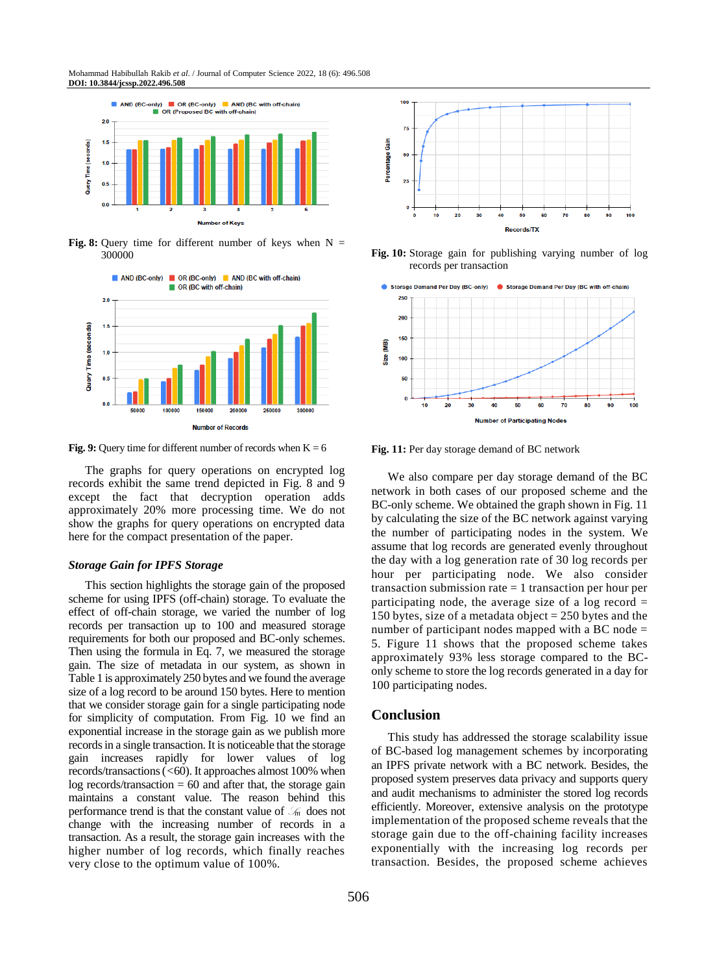Mohammad Habibullah Rakib *et al*. / Journal of Computer Science 2022, 18 (6): 496.508 **DOI: 10.3844/jcssp.2022.496.508**



**Fig. 8:** Query time for different number of keys when  $N =$ 300000



**Fig. 9:** Query time for different number of records when  $K = 6$ 

The graphs for query operations on encrypted log records exhibit the same trend depicted in Fig. 8 and 9 except the fact that decryption operation adds approximately 20% more processing time. We do not show the graphs for query operations on encrypted data here for the compact presentation of the paper.

#### *Storage Gain for IPFS Storage*

This section highlights the storage gain of the proposed scheme for using IPFS (off-chain) storage. To evaluate the effect of off-chain storage, we varied the number of log records per transaction up to 100 and measured storage requirements for both our proposed and BC-only schemes. Then using the formula in Eq. 7, we measured the storage gain. The size of metadata in our system, as shown in Table 1 is approximately 250 bytes and we found the average size of a log record to be around 150 bytes. Here to mention that we consider storage gain for a single participating node for simplicity of computation. From Fig. 10 we find an exponential increase in the storage gain as we publish more records in a single transaction. It is noticeable that the storage gain increases rapidly for lower values of log records/transactions (*<*60). It approaches almost 100% when  $log$  records/transaction  $= 60$  and after that, the storage gain maintains a constant value. The reason behind this performance trend is that the constant value of  $\mathcal{S}_m$  does not change with the increasing number of records in a transaction. As a result, the storage gain increases with the higher number of log records, which finally reaches very close to the optimum value of 100%.



**Fig. 10:** Storage gain for publishing varying number of log records per transaction



**Fig. 11:** Per day storage demand of BC network

We also compare per day storage demand of the BC network in both cases of our proposed scheme and the BC-only scheme. We obtained the graph shown in Fig. 11 by calculating the size of the BC network against varying the number of participating nodes in the system. We assume that log records are generated evenly throughout the day with a log generation rate of 30 log records per hour per participating node. We also consider transaction submission rate = 1 transaction per hour per participating node, the average size of a log record  $=$ 150 bytes, size of a metadata object  $= 250$  bytes and the number of participant nodes mapped with a BC node = 5. Figure 11 shows that the proposed scheme takes approximately 93% less storage compared to the BConly scheme to store the log records generated in a day for 100 participating nodes.

### **Conclusion**

This study has addressed the storage scalability issue of BC-based log management schemes by incorporating an IPFS private network with a BC network. Besides, the proposed system preserves data privacy and supports query and audit mechanisms to administer the stored log records efficiently. Moreover, extensive analysis on the prototype implementation of the proposed scheme reveals that the storage gain due to the off-chaining facility increases exponentially with the increasing log records per transaction. Besides, the proposed scheme achieves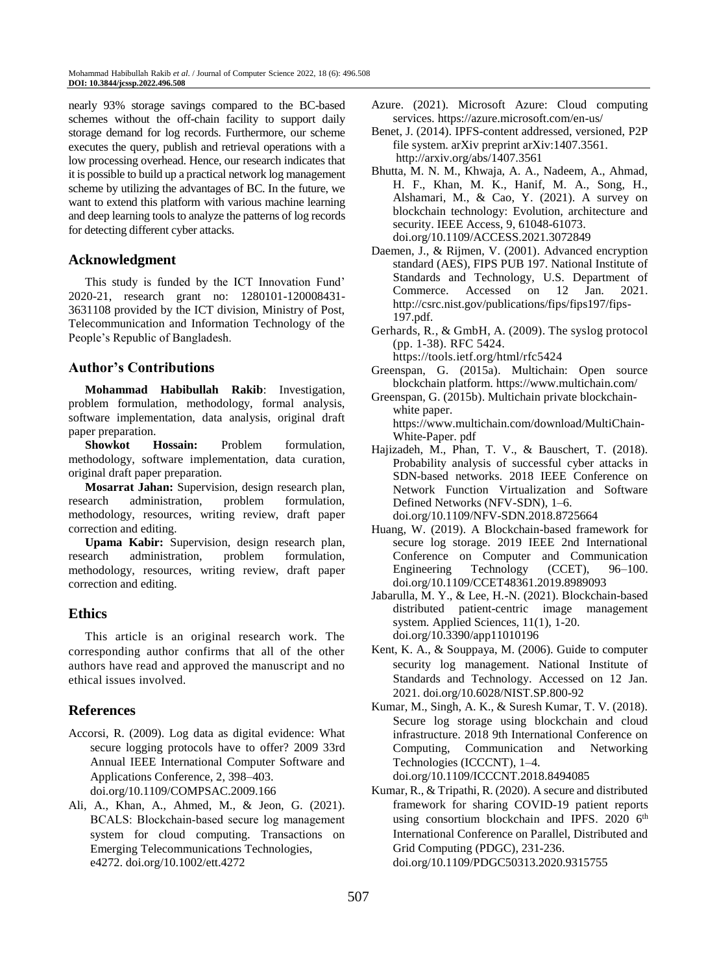nearly 93% storage savings compared to the BC-based schemes without the off-chain facility to support daily storage demand for log records. Furthermore, our scheme executes the query, publish and retrieval operations with a low processing overhead. Hence, our research indicates that it is possible to build up a practical network log management scheme by utilizing the advantages of BC. In the future, we want to extend this platform with various machine learning and deep learning tools to analyze the patterns of log records for detecting different cyber attacks.

# **Acknowledgment**

This study is funded by the ICT Innovation Fund' 2020-21, research grant no: 1280101-120008431- 3631108 provided by the ICT division, Ministry of Post, Telecommunication and Information Technology of the People's Republic of Bangladesh.

# **Author's Contributions**

**Mohammad Habibullah Rakib**: Investigation, problem formulation, methodology, formal analysis, software implementation, data analysis, original draft paper preparation.

**Showkot Hossain:** Problem formulation, methodology, software implementation, data curation, original draft paper preparation.

**Mosarrat Jahan:** Supervision, design research plan, research administration, problem formulation, methodology, resources, writing review, draft paper correction and editing.

**Upama Kabir:** Supervision, design research plan, research administration, problem formulation, methodology, resources, writing review, draft paper correction and editing.

# **Ethics**

This article is an original research work. The corresponding author confirms that all of the other authors have read and approved the manuscript and no ethical issues involved.

# **References**

- Accorsi, R. (2009). Log data as digital evidence: What secure logging protocols have to offer? 2009 33rd Annual IEEE International Computer Software and Applications Conference, 2, 398–403. doi.org/10.1109/COMPSAC.2009.166
- Ali, A., Khan, A., Ahmed, M., & Jeon, G. (2021). BCALS: Blockchain‐based secure log management system for cloud computing. Transactions on Emerging Telecommunications Technologies, e4272. [doi.org/10.1002/ett.4272](https://doi.org/10.1002/ett.4272)
- Azure. (2021). Microsoft Azure: Cloud computing services. https://azure.microsoft.com/en-us/
- Benet, J. (2014). IPFS-content addressed, versioned, P2P file system. arXiv preprint arXiv:1407.3561. <http://arxiv.org/abs/1407.3561>
- Bhutta, M. N. M., Khwaja, A. A., Nadeem, A., Ahmad, H. F., Khan, M. K., Hanif, M. A., Song, H., Alshamari, M., & Cao, Y. (2021). A survey on blockchain technology: Evolution, architecture and security. IEEE Access, 9, 61048-61073. [doi.org/10.1109/ACCESS.2021.3072849](https://doi.org/10.1109/ACCESS.2021.3072849)
- Daemen, J., & Rijmen, V. (2001). Advanced encryption standard (AES), FIPS PUB 197. National Institute of Standards and Technology, U.S. Department of Commerce. Accessed on 12 Jan. 2021. http://csrc.nist.gov/publications/fips/fips197/fips-197.pdf.
- Gerhards, R., & GmbH, A. (2009). The syslog protocol (pp. 1-38). RFC 5424. <https://tools.ietf.org/html/rfc5424>
- Greenspan, G. (2015a). Multichain: Open source blockchain platform. https://www.multichain.com/
- Greenspan, G. (2015b). Multichain private blockchainwhite paper. https://www.multichain.com/download/MultiChain-White-Paper. pdf
- Hajizadeh, M., Phan, T. V., & Bauschert, T. (2018). Probability analysis of successful cyber attacks in SDN-based networks. 2018 IEEE Conference on Network Function Virtualization and Software Defined Networks (NFV-SDN), 1–6. doi.org/10.1109/NFV-SDN.2018.8725664
- Huang, W. (2019). A Blockchain-based framework for secure log storage. 2019 IEEE 2nd International Conference on Computer and Communication Engineering Technology (CCET), 96–100. doi.org/10.1109/CCET48361.2019.8989093
- Jabarulla, M. Y., & Lee, H.-N. (2021). Blockchain-based distributed patient-centric image management system. Applied Sciences, 11(1), 1-20. [doi.org/10.3390/app11010196](https://doi.org/10.3390/app11010196)
- Kent, K. A., & Souppaya, M. (2006). Guide to computer security log management. National Institute of Standards and Technology. Accessed on 12 Jan. 2021. [doi.org/10.6028/NIST.SP.800-92](https://doi.org/10.6028/NIST.SP.800-92)
- Kumar, M., Singh, A. K., & Suresh Kumar, T. V. (2018). Secure log storage using blockchain and cloud infrastructure. 2018 9th International Conference on Computing, Communication and Networking Technologies (ICCCNT), 1–4. doi.org/10.1109/ICCCNT.2018.8494085
- Kumar, R., & Tripathi, R. (2020). A secure and distributed framework for sharing COVID-19 patient reports using consortium blockchain and IPFS. 2020 6<sup>th</sup> International Conference on Parallel, Distributed and Grid Computing (PDGC), 231-236. [doi.org/10.1109/PDGC50313.2020.9315755](https://doi.org/10.1109/PDGC50313.2020.9315755)